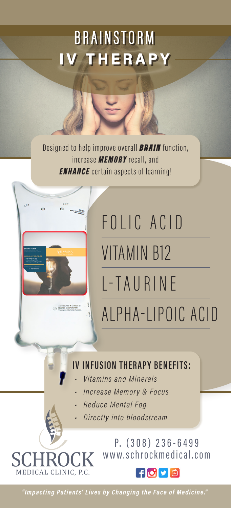# BRAINSTORM IV THERAPY

Designed to help improve overall **BRAIN** function, increase MEMORY recall, and **ENHANCE** certain aspects of learning!



MEDICAL CLINIC, P.C.

# FOLIC ACID VITAMIN B12 L-TAURINE

ALPHA-LIPOIC ACID

#### IV INFUSION THERAPY BENEFITS:

- Vitamins and Minerals
- Increase Memory & Focus
- Reduce Mental Fog
- Directly into bloodstream

P. (308) 236-6499 www.schrockmedical.com



"Impacting Patients' Lives by Changing the Face of Medicine."